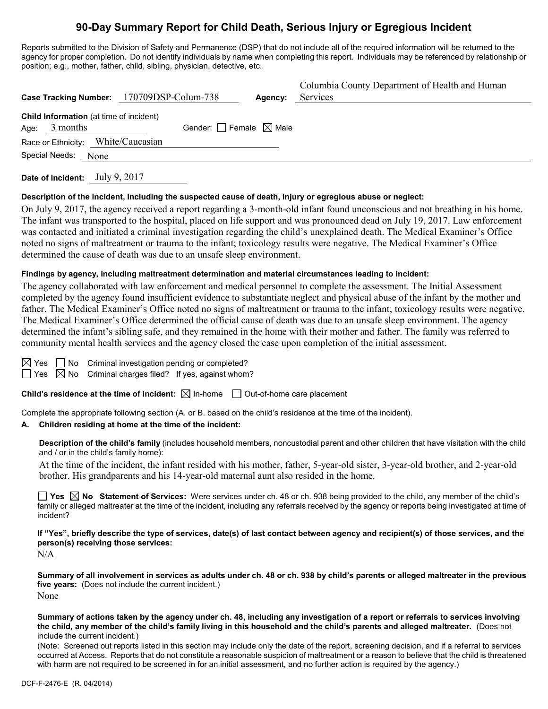# **90-Day Summary Report for Child Death, Serious Injury or Egregious Incident**

Reports submitted to the Division of Safety and Permanence (DSP) that do not include all of the required information will be returned to the agency for proper completion. Do not identify individuals by name when completing this report. Individuals may be referenced by relationship or position; e.g., mother, father, child, sibling, physician, detective, etc.

| Case Tracking Number: 170709DSP-Colum-738                  | Agency:                                | Columbia County Department of Health and Human<br>Services |
|------------------------------------------------------------|----------------------------------------|------------------------------------------------------------|
| Child Information (at time of incident)<br>Age: $3$ months | Gender: $\Box$ Female $\boxtimes$ Male |                                                            |
| Race or Ethnicity: White/Caucasian                         |                                        |                                                            |
| Special Needs: None                                        |                                        |                                                            |
|                                                            |                                        |                                                            |

**Date of Incident:** July 9, 2017

### **Description of the incident, including the suspected cause of death, injury or egregious abuse or neglect:**

On July 9, 2017, the agency received a report regarding a 3-month-old infant found unconscious and not breathing in his home. The infant was transported to the hospital, placed on life support and was pronounced dead on July 19, 2017. Law enforcement was contacted and initiated a criminal investigation regarding the child's unexplained death. The Medical Examiner's Office noted no signs of maltreatment or trauma to the infant; toxicology results were negative. The Medical Examiner's Office determined the cause of death was due to an unsafe sleep environment.

#### **Findings by agency, including maltreatment determination and material circumstances leading to incident:**

The agency collaborated with law enforcement and medical personnel to complete the assessment. The Initial Assessment completed by the agency found insufficient evidence to substantiate neglect and physical abuse of the infant by the mother and father. The Medical Examiner's Office noted no signs of maltreatment or trauma to the infant; toxicology results were negative. The Medical Examiner's Office determined the official cause of death was due to an unsafe sleep environment. The agency determined the infant's sibling safe, and they remained in the home with their mother and father. The family was referred to community mental health services and the agency closed the case upon completion of the initial assessment.

|  | ۷ |
|--|---|

 $\Box$  No Criminal investigation pending or completed?

Yes  $\boxtimes$  No Criminal charges filed? If yes, against whom?

**Child's residence at the time of incident:** ⊠ In-home □ Out-of-home care placement

Complete the appropriate following section (A. or B. based on the child's residence at the time of the incident).

### **A. Children residing at home at the time of the incident:**

**Description of the child's family** (includes household members, noncustodial parent and other children that have visitation with the child and / or in the child's family home):

At the time of the incident, the infant resided with his mother, father, 5-year-old sister, 3-year-old brother, and 2-year-old brother. His grandparents and his 14-year-old maternal aunt also resided in the home.

■ Yes **No** Statement of Services: Were services under ch. 48 or ch. 938 being provided to the child, any member of the child's family or alleged maltreater at the time of the incident, including any referrals received by the agency or reports being investigated at time of incident?

**If "Yes", briefly describe the type of services, date(s) of last contact between agency and recipient(s) of those services, and the person(s) receiving those services:**

N/A

**Summary of all involvement in services as adults under ch. 48 or ch. 938 by child's parents or alleged maltreater in the previous five years:** (Does not include the current incident.) None

**Summary of actions taken by the agency under ch. 48, including any investigation of a report or referrals to services involving the child, any member of the child's family living in this household and the child's parents and alleged maltreater.** (Does not include the current incident.)

(Note: Screened out reports listed in this section may include only the date of the report, screening decision, and if a referral to services occurred at Access. Reports that do not constitute a reasonable suspicion of maltreatment or a reason to believe that the child is threatened with harm are not required to be screened in for an initial assessment, and no further action is required by the agency.)